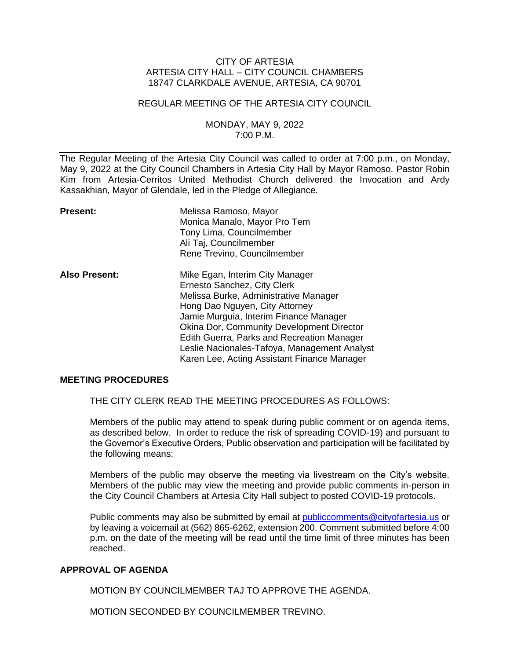## CITY OF ARTESIA ARTESIA CITY HALL – CITY COUNCIL CHAMBERS 18747 CLARKDALE AVENUE, ARTESIA, CA 90701

#### REGULAR MEETING OF THE ARTESIA CITY COUNCIL

## MONDAY, MAY 9, 2022 7:00 P.M.

The Regular Meeting of the Artesia City Council was called to order at 7:00 p.m., on Monday, May 9, 2022 at the City Council Chambers in Artesia City Hall by Mayor Ramoso. Pastor Robin Kim from Artesia-Cerritos United Methodist Church delivered the Invocation and Ardy Kassakhian, Mayor of Glendale, led in the Pledge of Allegiance.

| Present:             | Melissa Ramoso, Mayor<br>Monica Manalo, Mayor Pro Tem<br>Tony Lima, Councilmember<br>Ali Taj, Councilmember<br>Rene Trevino, Councilmember                                                                                                                                                                                                                                           |
|----------------------|--------------------------------------------------------------------------------------------------------------------------------------------------------------------------------------------------------------------------------------------------------------------------------------------------------------------------------------------------------------------------------------|
| <b>Also Present:</b> | Mike Egan, Interim City Manager<br>Ernesto Sanchez, City Clerk<br>Melissa Burke, Administrative Manager<br>Hong Dao Nguyen, City Attorney<br>Jamie Murguia, Interim Finance Manager<br><b>Okina Dor, Community Development Director</b><br>Edith Guerra, Parks and Recreation Manager<br>Leslie Nacionales-Tafoya, Management Analyst<br>Karen Lee, Acting Assistant Finance Manager |

#### **MEETING PROCEDURES**

THE CITY CLERK READ THE MEETING PROCEDURES AS FOLLOWS:

Members of the public may attend to speak during public comment or on agenda items, as described below. In order to reduce the risk of spreading COVID-19) and pursuant to the Governor's Executive Orders, Public observation and participation will be facilitated by the following means:

Members of the public may observe the meeting via livestream on the City's website. Members of the public may view the meeting and provide public comments in-person in the City Council Chambers at Artesia City Hall subject to posted COVID-19 protocols.

Public comments may also be submitted by email at [publiccomments@cityofartesia.us](mailto:publiccomments@cityofartesia.us) or by leaving a voicemail at (562) 865-6262, extension 200. Comment submitted before 4:00 p.m. on the date of the meeting will be read until the time limit of three minutes has been reached.

## **APPROVAL OF AGENDA**

MOTION BY COUNCILMEMBER TAJ TO APPROVE THE AGENDA.

MOTION SECONDED BY COUNCILMEMBER TREVINO.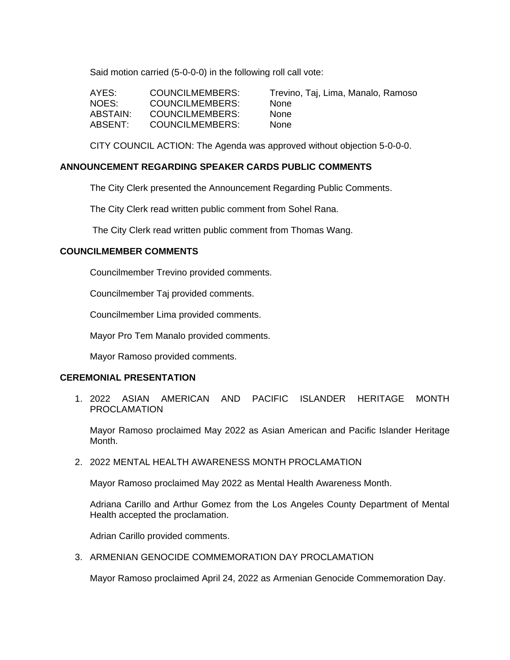Said motion carried (5-0-0-0) in the following roll call vote:

| AYES:    | COUNCILMEMBERS: | Trevii |
|----------|-----------------|--------|
| NOES:    | COUNCILMEMBERS: | None   |
| ABSTAIN: | COUNCILMEMBERS: | None   |
| ABSENT:  | COUNCILMEMBERS: | None   |

Trevino, Taj, Lima, Manalo, Ramoso

CITY COUNCIL ACTION: The Agenda was approved without objection 5-0-0-0.

## **ANNOUNCEMENT REGARDING SPEAKER CARDS PUBLIC COMMENTS**

The City Clerk presented the Announcement Regarding Public Comments.

The City Clerk read written public comment from Sohel Rana.

The City Clerk read written public comment from Thomas Wang.

### **COUNCILMEMBER COMMENTS**

Councilmember Trevino provided comments.

Councilmember Taj provided comments.

Councilmember Lima provided comments.

Mayor Pro Tem Manalo provided comments.

Mayor Ramoso provided comments.

## **CEREMONIAL PRESENTATION**

1. 2022 ASIAN AMERICAN AND PACIFIC ISLANDER HERITAGE MONTH PROCLAMATION

Mayor Ramoso proclaimed May 2022 as Asian American and Pacific Islander Heritage Month.

2. 2022 MENTAL HEALTH AWARENESS MONTH PROCLAMATION

Mayor Ramoso proclaimed May 2022 as Mental Health Awareness Month.

Adriana Carillo and Arthur Gomez from the Los Angeles County Department of Mental Health accepted the proclamation.

Adrian Carillo provided comments.

3. ARMENIAN GENOCIDE COMMEMORATION DAY PROCLAMATION

Mayor Ramoso proclaimed April 24, 2022 as Armenian Genocide Commemoration Day.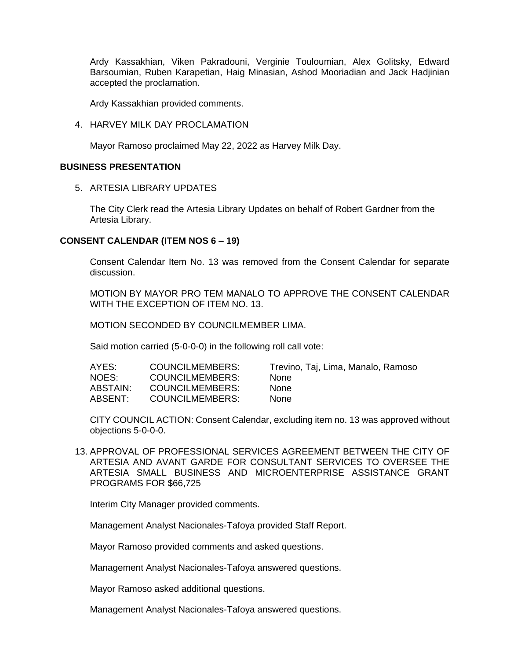Ardy Kassakhian, Viken Pakradouni, Verginie Touloumian, Alex Golitsky, Edward Barsoumian, Ruben Karapetian, Haig Minasian, Ashod Mooriadian and Jack Hadjinian accepted the proclamation.

Ardy Kassakhian provided comments.

4. HARVEY MILK DAY PROCLAMATION

Mayor Ramoso proclaimed May 22, 2022 as Harvey Milk Day.

## **BUSINESS PRESENTATION**

5. ARTESIA LIBRARY UPDATES

The City Clerk read the Artesia Library Updates on behalf of Robert Gardner from the Artesia Library.

### **CONSENT CALENDAR (ITEM NOS 6 – 19)**

Consent Calendar Item No. 13 was removed from the Consent Calendar for separate discussion.

MOTION BY MAYOR PRO TEM MANALO TO APPROVE THE CONSENT CALENDAR WITH THE EXCEPTION OF ITEM NO. 13.

MOTION SECONDED BY COUNCILMEMBER LIMA.

Said motion carried (5-0-0-0) in the following roll call vote:

| AYES:    | COUNCILMEMBERS: | Trevino, Taj, Lima, Manalo, Ramoso |
|----------|-----------------|------------------------------------|
| NOES:    | COUNCILMEMBERS: | <b>None</b>                        |
| ABSTAIN: | COUNCILMEMBERS: | <b>None</b>                        |
| ABSENT:  | COUNCILMEMBERS: | <b>None</b>                        |

CITY COUNCIL ACTION: Consent Calendar, excluding item no. 13 was approved without objections 5-0-0-0.

13. APPROVAL OF PROFESSIONAL SERVICES AGREEMENT BETWEEN THE CITY OF ARTESIA AND AVANT GARDE FOR CONSULTANT SERVICES TO OVERSEE THE ARTESIA SMALL BUSINESS AND MICROENTERPRISE ASSISTANCE GRANT PROGRAMS FOR \$66,725

Interim City Manager provided comments.

Management Analyst Nacionales-Tafoya provided Staff Report.

Mayor Ramoso provided comments and asked questions.

Management Analyst Nacionales-Tafoya answered questions.

Mayor Ramoso asked additional questions.

Management Analyst Nacionales-Tafoya answered questions.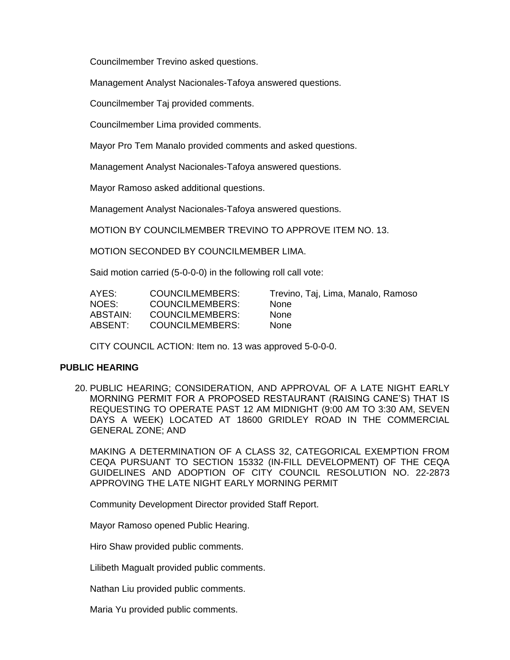Councilmember Trevino asked questions.

Management Analyst Nacionales-Tafoya answered questions.

Councilmember Taj provided comments.

Councilmember Lima provided comments.

Mayor Pro Tem Manalo provided comments and asked questions.

Management Analyst Nacionales-Tafoya answered questions.

Mayor Ramoso asked additional questions.

Management Analyst Nacionales-Tafoya answered questions.

MOTION BY COUNCILMEMBER TREVINO TO APPROVE ITEM NO. 13.

MOTION SECONDED BY COUNCILMEMBER LIMA.

Said motion carried (5-0-0-0) in the following roll call vote:

| AYES:    | COUNCILMEMBERS:        | Trevino, Taj, Lima, Manalo, Ramoso |
|----------|------------------------|------------------------------------|
| NOES:    | COUNCILMEMBERS:        | <b>None</b>                        |
| ABSTAIN: | COUNCILMEMBERS:        | <b>None</b>                        |
| ABSENT:  | <b>COUNCILMEMBERS:</b> | <b>None</b>                        |

CITY COUNCIL ACTION: Item no. 13 was approved 5-0-0-0.

#### **PUBLIC HEARING**

20. PUBLIC HEARING; CONSIDERATION, AND APPROVAL OF A LATE NIGHT EARLY MORNING PERMIT FOR A PROPOSED RESTAURANT (RAISING CANE'S) THAT IS REQUESTING TO OPERATE PAST 12 AM MIDNIGHT (9:00 AM TO 3:30 AM, SEVEN DAYS A WEEK) LOCATED AT 18600 GRIDLEY ROAD IN THE COMMERCIAL GENERAL ZONE; AND

MAKING A DETERMINATION OF A CLASS 32, CATEGORICAL EXEMPTION FROM CEQA PURSUANT TO SECTION 15332 (IN-FILL DEVELOPMENT) OF THE CEQA GUIDELINES AND ADOPTION OF CITY COUNCIL RESOLUTION NO. 22-2873 APPROVING THE LATE NIGHT EARLY MORNING PERMIT

Community Development Director provided Staff Report.

Mayor Ramoso opened Public Hearing.

Hiro Shaw provided public comments.

Lilibeth Magualt provided public comments.

Nathan Liu provided public comments.

Maria Yu provided public comments.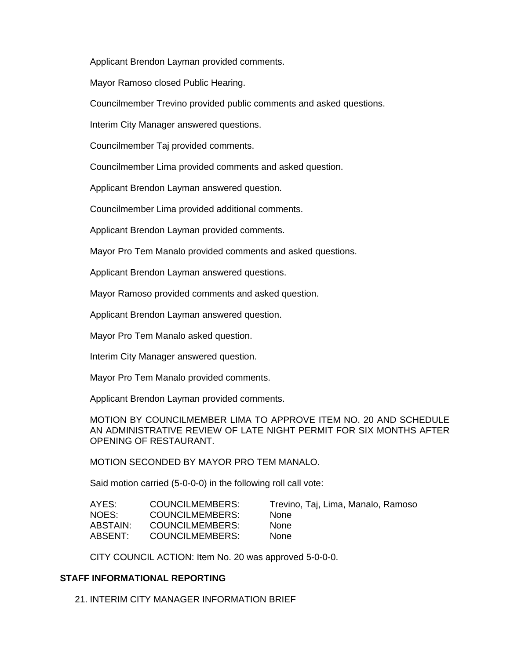Applicant Brendon Layman provided comments.

Mayor Ramoso closed Public Hearing.

Councilmember Trevino provided public comments and asked questions.

Interim City Manager answered questions.

Councilmember Taj provided comments.

Councilmember Lima provided comments and asked question.

Applicant Brendon Layman answered question.

Councilmember Lima provided additional comments.

Applicant Brendon Layman provided comments.

Mayor Pro Tem Manalo provided comments and asked questions.

Applicant Brendon Layman answered questions.

Mayor Ramoso provided comments and asked question.

Applicant Brendon Layman answered question.

Mayor Pro Tem Manalo asked question.

Interim City Manager answered question.

Mayor Pro Tem Manalo provided comments.

Applicant Brendon Layman provided comments.

MOTION BY COUNCILMEMBER LIMA TO APPROVE ITEM NO. 20 AND SCHEDULE AN ADMINISTRATIVE REVIEW OF LATE NIGHT PERMIT FOR SIX MONTHS AFTER OPENING OF RESTAURANT.

MOTION SECONDED BY MAYOR PRO TEM MANALO.

Said motion carried (5-0-0-0) in the following roll call vote:

| AYES:    | COUNCILMEMBERS: | Trevino, Taj, Lima, Manalo, Ramoso |
|----------|-----------------|------------------------------------|
| NOES:    | COUNCILMEMBERS: | <b>None</b>                        |
| ABSTAIN: | COUNCILMEMBERS: | <b>None</b>                        |
| ABSENT:  | COUNCILMEMBERS: | <b>None</b>                        |

CITY COUNCIL ACTION: Item No. 20 was approved 5-0-0-0.

## **STAFF INFORMATIONAL REPORTING**

21. INTERIM CITY MANAGER INFORMATION BRIEF